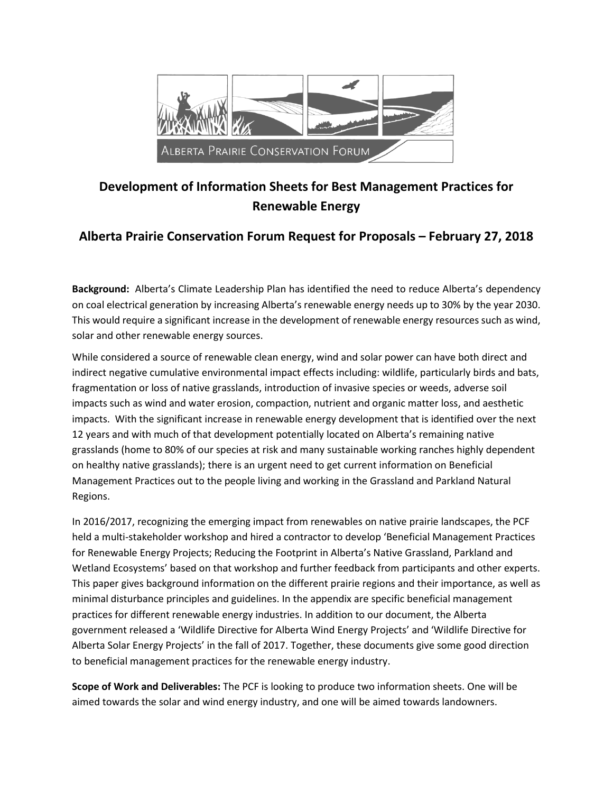

## **Development of Information Sheets for Best Management Practices for Renewable Energy**

## **Alberta Prairie Conservation Forum Request for Proposals – February 27, 2018**

**Background:** Alberta's Climate Leadership Plan has identified the need to reduce Alberta's dependency on coal electrical generation by increasing Alberta's renewable energy needs up to 30% by the year 2030. This would require a significant increase in the development of renewable energy resources such as wind, solar and other renewable energy sources.

While considered a source of renewable clean energy, wind and solar power can have both direct and indirect negative cumulative environmental impact effects including: wildlife, particularly birds and bats, fragmentation or loss of native grasslands, introduction of invasive species or weeds, adverse soil impacts such as wind and water erosion, compaction, nutrient and organic matter loss, and aesthetic impacts. With the significant increase in renewable energy development that is identified over the next 12 years and with much of that development potentially located on Alberta's remaining native grasslands (home to 80% of our species at risk and many sustainable working ranches highly dependent on healthy native grasslands); there is an urgent need to get current information on Beneficial Management Practices out to the people living and working in the Grassland and Parkland Natural Regions.

In 2016/2017, recognizing the emerging impact from renewables on native prairie landscapes, the PCF held a multi-stakeholder workshop and hired a contractor to develop 'Beneficial Management Practices for Renewable Energy Projects; Reducing the Footprint in Alberta's Native Grassland, Parkland and Wetland Ecosystems' based on that workshop and further feedback from participants and other experts. This paper gives background information on the different prairie regions and their importance, as well as minimal disturbance principles and guidelines. In the appendix are specific beneficial management practices for different renewable energy industries. In addition to our document, the Alberta government released a 'Wildlife Directive for Alberta Wind Energy Projects' and 'Wildlife Directive for Alberta Solar Energy Projects' in the fall of 2017. Together, these documents give some good direction to beneficial management practices for the renewable energy industry.

**Scope of Work and Deliverables:** The PCF is looking to produce two information sheets. One will be aimed towards the solar and wind energy industry, and one will be aimed towards landowners.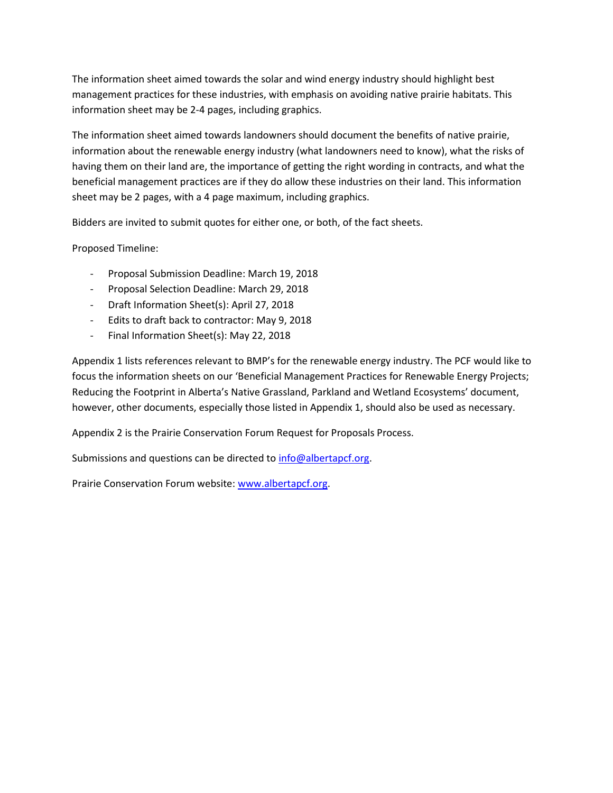The information sheet aimed towards the solar and wind energy industry should highlight best management practices for these industries, with emphasis on avoiding native prairie habitats. This information sheet may be 2-4 pages, including graphics.

The information sheet aimed towards landowners should document the benefits of native prairie, information about the renewable energy industry (what landowners need to know), what the risks of having them on their land are, the importance of getting the right wording in contracts, and what the beneficial management practices are if they do allow these industries on their land. This information sheet may be 2 pages, with a 4 page maximum, including graphics.

Bidders are invited to submit quotes for either one, or both, of the fact sheets.

Proposed Timeline:

- Proposal Submission Deadline: March 19, 2018
- Proposal Selection Deadline: March 29, 2018
- Draft Information Sheet(s): April 27, 2018
- Edits to draft back to contractor: May 9, 2018
- Final Information Sheet(s): May 22, 2018

Appendix 1 lists references relevant to BMP's for the renewable energy industry. The PCF would like to focus the information sheets on our 'Beneficial Management Practices for Renewable Energy Projects; Reducing the Footprint in Alberta's Native Grassland, Parkland and Wetland Ecosystems' document, however, other documents, especially those listed in Appendix 1, should also be used as necessary.

Appendix 2 is the Prairie Conservation Forum Request for Proposals Process.

Submissions and questions can be directed to [info@albertapcf.org.](mailto:info@albertapcf.org)

Prairie Conservation Forum website[: www.albertapcf.org.](http://www.albertapcf.org/)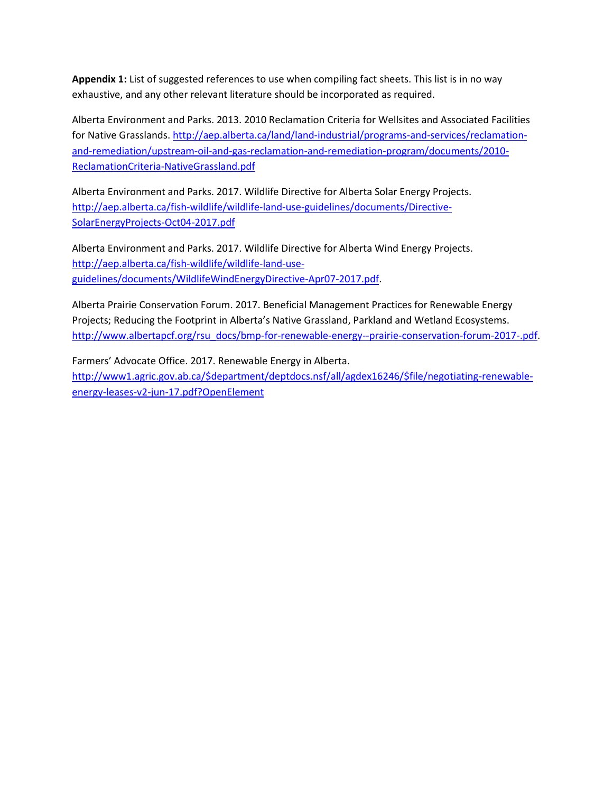**Appendix 1:** List of suggested references to use when compiling fact sheets. This list is in no way exhaustive, and any other relevant literature should be incorporated as required.

Alberta Environment and Parks. 2013. 2010 Reclamation Criteria for Wellsites and Associated Facilities for Native Grasslands[. http://aep.alberta.ca/land/land-industrial/programs-and-services/reclamation](http://aep.alberta.ca/land/land-industrial/programs-and-services/reclamation-and-remediation/upstream-oil-and-gas-reclamation-and-remediation-program/documents/2010-ReclamationCriteria-NativeGrassland.pdf)[and-remediation/upstream-oil-and-gas-reclamation-and-remediation-program/documents/2010-](http://aep.alberta.ca/land/land-industrial/programs-and-services/reclamation-and-remediation/upstream-oil-and-gas-reclamation-and-remediation-program/documents/2010-ReclamationCriteria-NativeGrassland.pdf) [ReclamationCriteria-NativeGrassland.pdf](http://aep.alberta.ca/land/land-industrial/programs-and-services/reclamation-and-remediation/upstream-oil-and-gas-reclamation-and-remediation-program/documents/2010-ReclamationCriteria-NativeGrassland.pdf)

Alberta Environment and Parks. 2017. Wildlife Directive for Alberta Solar Energy Projects. [http://aep.alberta.ca/fish-wildlife/wildlife-land-use-guidelines/documents/Directive-](http://aep.alberta.ca/fish-wildlife/wildlife-land-use-guidelines/documents/Directive-SolarEnergyProjects-Oct04-2017.pdf)[SolarEnergyProjects-Oct04-2017.pdf](http://aep.alberta.ca/fish-wildlife/wildlife-land-use-guidelines/documents/Directive-SolarEnergyProjects-Oct04-2017.pdf)

Alberta Environment and Parks. 2017. Wildlife Directive for Alberta Wind Energy Projects. [http://aep.alberta.ca/fish-wildlife/wildlife-land-use](http://aep.alberta.ca/fish-wildlife/wildlife-land-use-guidelines/documents/WildlifeWindEnergyDirective-Apr07-2017.pdf)[guidelines/documents/WildlifeWindEnergyDirective-Apr07-2017.pdf.](http://aep.alberta.ca/fish-wildlife/wildlife-land-use-guidelines/documents/WildlifeWindEnergyDirective-Apr07-2017.pdf)

Alberta Prairie Conservation Forum. 2017. Beneficial Management Practices for Renewable Energy Projects; Reducing the Footprint in Alberta's Native Grassland, Parkland and Wetland Ecosystems. [http://www.albertapcf.org/rsu\\_docs/bmp-for-renewable-energy--prairie-conservation-forum-2017-.pdf.](http://www.albertapcf.org/rsu_docs/bmp-for-renewable-energy--prairie-conservation-forum-2017-.pdf)

Farmers' Advocate Office. 2017. Renewable Energy in Alberta. [http://www1.agric.gov.ab.ca/\\$department/deptdocs.nsf/all/agdex16246/\\$file/negotiating-renewable](http://www1.agric.gov.ab.ca/$department/deptdocs.nsf/all/agdex16246/$file/negotiating-renewable-energy-leases-v2-jun-17.pdf?OpenElement)[energy-leases-v2-jun-17.pdf?OpenElement](http://www1.agric.gov.ab.ca/$department/deptdocs.nsf/all/agdex16246/$file/negotiating-renewable-energy-leases-v2-jun-17.pdf?OpenElement)